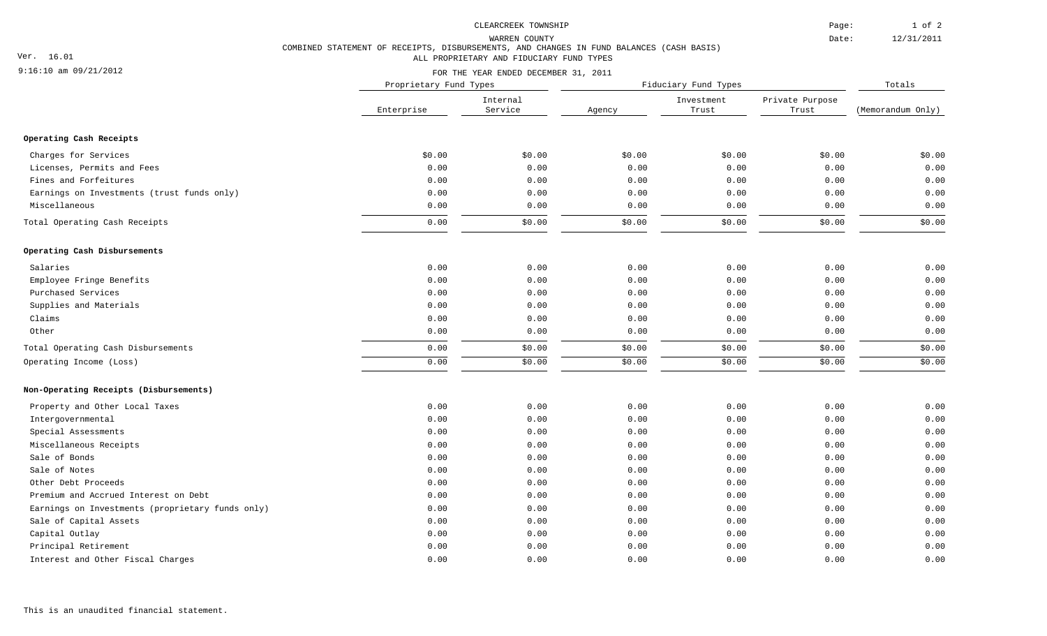### CLEARCREEK TOWNSHIP

FOR THE YEAR ENDED DECEMBER 31, 2011

Page:

Date:

## COMBINED STATEMENT OF RECEIPTS, DISBURSEMENTS, AND CHANGES IN FUND BALANCES (CASH BASIS) ALL PROPRIETARY AND FIDUCIARY FUND TYPES WARREN COUNTY

## 9:16:10 am 09/21/2012

Ver. 16.01

Enterprise Service Agency Internal Service (Memorandum Only) Proprietary Fund Types Fiduciary Fund Types Totals Trust Trust Investment Private Purpose **Operating Cash Receipts** Charges for Services \$0.00 \$0.00 \$0.00 \$0.00 \$0.00 \$0.00 Licenses, Permits and Fees 0.00 0.00 0.00 0.00 0.00 0.00 Fines and Forfeitures 0.00 0.00 0.00 0.00 0.00 0.00 Earnings on Investments (trust funds only) 0.00 0.00 0.00 0.00 0.00 0.00 Miscellaneous 0.00 0.00 0.00 0.00 0.00 0.00 Total Operating Cash Receipts 0.00 \$0.00 \$0.00 \$0.00 \$0.00 \$0.00 **Operating Cash Disbursements** Salaries 0.00 0.00 0.00 0.00 0.00 0.00 Employee Fringe Benefits 0.00 0.00 0.00 0.00 0.00 0.00 Purchased Services 0.00 0.00 0.00 0.00 0.00 0.00 Supplies and Materials 0.00 0.00 0.00 0.00 0.00 0.00 Claims 0.00 0.00 0.00 0.00 0.00 0.00 Other 0.00 0.00 0.00 0.00 0.00 0.00 \$0.00 \$0.00 Total Operating Cash Disbursements Operating Income (Loss) \$0.00 \$0.00 0.00 0.00 \$0.00 \$0.00 \$0.00 \$0.00 \$0.00 \$0.00 **Non-Operating Receipts (Disbursements)** Property and Other Local Taxes 0.00 0.00 0.00 0.00 0.00 0.00 Intergovernmental 0.00 0.00 0.00 0.00 0.00 0.00 Special Assessments 0.00 0.00 0.00 0.00 0.00 0.00 Miscellaneous Receipts 0.00 0.00 0.00 0.00 0.00 0.00 Sale of Bonds 0.00 0.00 0.00 0.00 0.00 0.00 Sale of Notes 0.00 0.00 0.00 0.00 0.00 0.00 Other Debt Proceeds 0.00 0.00 0.00 0.00 0.00 0.00 Premium and Accrued Interest on Debt 0.00 0.00 0.00 0.00 0.00 0.00 Earnings on Investments (proprietary funds only) 0.00 0.00 0.00 0.00 0.00 0.00 Sale of Capital Assets 0.00 0.00 0.00 0.00 0.00 0.00 Capital Outlay 0.00 0.00 0.00 0.00 0.00 0.00 Principal Retirement 0.00 0.00 0.00 0.00 0.00 0.00 Interest and Other Fiscal Charges 0.00 0.00 0.00 0.00 0.00 0.00

12/31/2011 1 of 2